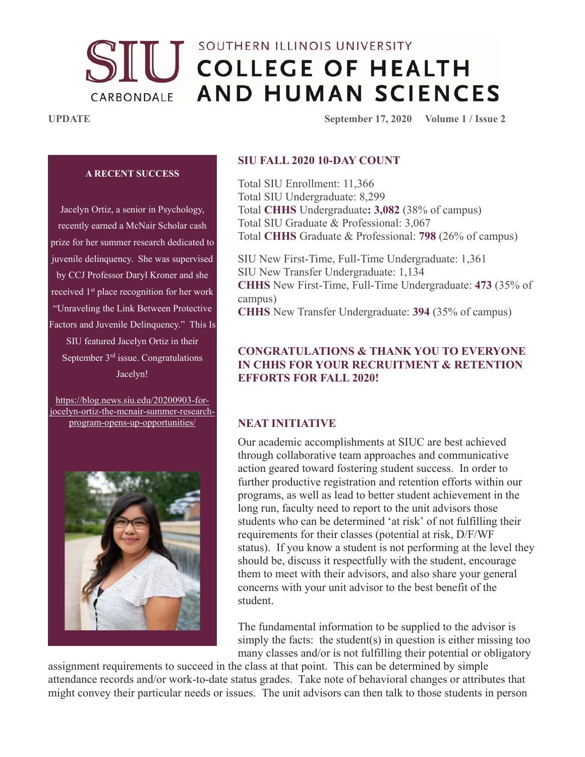# SOUTHERN ILLINOIS UNIVERSITY **UU** COLLEGE OF HEALTH **AND HUMAN SCIENCES** CARBONDALE

**UPDATE** September 17, 2020 Volume 1 / Issue 2

#### **A RECENT SUCCESS**

Jacelyn Ortiz, a senior in Psychology, recently earned a McNair Scholar cash prize for her summer research dedicated to juvenile delinquency. She was supervised by CCJ Professor Daryl Kroner and she received 1<sup>st</sup> place recognition for her work "Unraveling the Link Between Protective Factors and Juvenile Delinquency." This Is SIU featured Jacelyn Ortiz in their September 3rd issue. Congratulations Jacelyn!

https://blog.news.siu.edu/20200903-forjocelyn-ortiz-the-mcnair-summer-researchprogram-opens-up-opportunities/



#### **SIU FALL 2020 10-DAY COUNT**

Total SIU Enrollment: 11,366 Total SIU Undergraduate: 8,299 Total **CHHS** Undergraduate**: 3,082** (38% of campus) Total SIU Graduate & Professional: 3,067 Total **CHHS** Graduate & Professional: **798** (26% of campus)

SIU New First-Time, Full-Time Undergraduate: 1,361 SIU New Transfer Undergraduate: 1,134 **CHHS** New First-Time, Full-Time Undergraduate: **473** (35% of campus) **CHHS** New Transfer Undergraduate: **394** (35% of campus)

#### **CONGRATULATIONS & THANK YOU TO EVERYONE IN CHHS FOR YOUR RECRUITMENT & RETENTION EFFORTS FOR FALL 2020!**

#### **NEAT INITIATIVE**

Our academic accomplishments at SIUC are best achieved through collaborative team approaches and communicative action geared toward fostering student success. In order to further productive registration and retention efforts within our programs, as well as lead to better student achievement in the long run, faculty need to report to the unit advisors those students who can be determined 'at risk' of not fulfilling their requirements for their classes (potential at risk, D/F/WF status). If you know a student is not performing at the level they should be, discuss it respectfully with the student, encourage them to meet with their advisors, and also share your general concerns with your unit advisor to the best benefit of the student.

The fundamental information to be supplied to the advisor is simply the facts: the student $(s)$  in question is either missing too many classes and/or is not fulfilling their potential or obligatory

assignment requirements to succeed in the class at that point. This can be determined by simple attendance records and/or work-to-date status grades. Take note of behavioral changes or attributes that might convey their particular needs or issues. The unit advisors can then talk to those students in person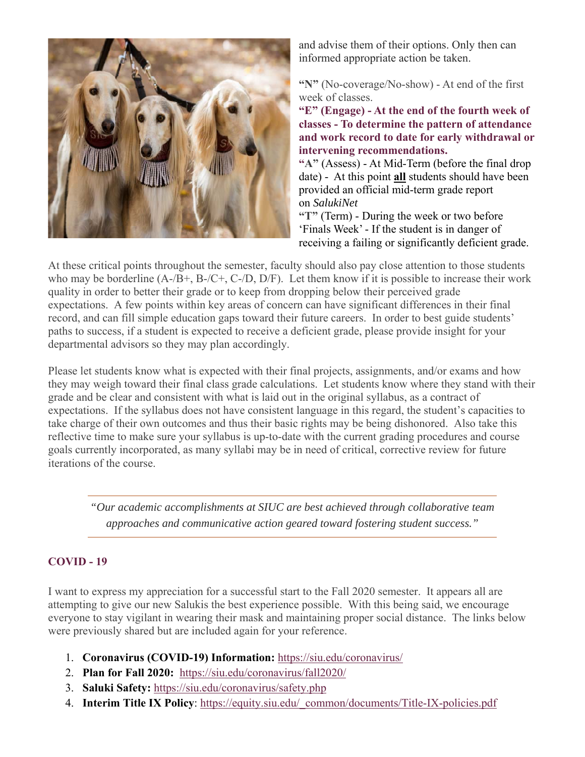

and advise them of their options. Only then can informed appropriate action be taken.

**"N"** (No-coverage/No-show) - At end of the first week of classes.

**"E" (Engage) - At the end of the fourth week of classes - To determine the pattern of attendance and work record to date for early withdrawal or intervening recommendations.** 

**"A"** (Assess) - At Mid-Term (before the final drop date) - At this point **all** students should have been provided an official mid-term grade report on *SalukiNet*

**"T"** (Term) - During the week or two before 'Finals Week' - If the student is in danger of receiving a failing or significantly deficient grade.

At these critical points throughout the semester, faculty should also pay close attention to those students who may be borderline (A-/B+, B-/C+, C-/D, D/F). Let them know if it is possible to increase their work quality in order to better their grade or to keep from dropping below their perceived grade expectations. A few points within key areas of concern can have significant differences in their final record, and can fill simple education gaps toward their future careers. In order to best guide students' paths to success, if a student is expected to receive a deficient grade, please provide insight for your departmental advisors so they may plan accordingly.

Please let students know what is expected with their final projects, assignments, and/or exams and how they may weigh toward their final class grade calculations. Let students know where they stand with their grade and be clear and consistent with what is laid out in the original syllabus, as a contract of expectations. If the syllabus does not have consistent language in this regard, the student's capacities to take charge of their own outcomes and thus their basic rights may be being dishonored. Also take this reflective time to make sure your syllabus is up-to-date with the current grading procedures and course goals currently incorporated, as many syllabi may be in need of critical, corrective review for future iterations of the course.

*"Our academic accomplishments at SIUC are best achieved through collaborative team approaches and communicative action geared toward fostering student success."*

## **COVID - 19**

I want to express my appreciation for a successful start to the Fall 2020 semester. It appears all are attempting to give our new Salukis the best experience possible. With this being said, we encourage everyone to stay vigilant in wearing their mask and maintaining proper social distance. The links below were previously shared but are included again for your reference.

- 1. **Coronavirus (COVID-19) Information:** https://siu.edu/coronavirus/
- 2. **Plan for Fall 2020:** https://siu.edu/coronavirus/fall2020/
- 3. **Saluki Safety:** https://siu.edu/coronavirus/safety.php
- 4. **Interim Title IX Policy**: https://equity.siu.edu/\_common/documents/Title-IX-policies.pdf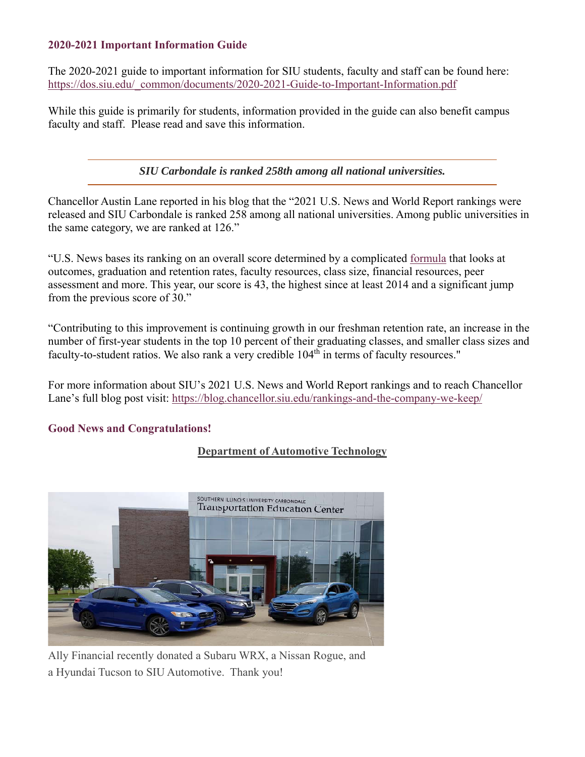#### **2020-2021 Important Information Guide**

The 2020-2021 guide to important information for SIU students, faculty and staff can be found here: https://dos.siu.edu/\_common/documents/2020-2021-Guide-to-Important-Information.pdf

While this guide is primarily for students, information provided in the guide can also benefit campus faculty and staff. Please read and save this information.

*SIU Carbondale is ranked 258th among all national universities.*

Chancellor Austin Lane reported in his blog that the "2021 U.S. News and World Report rankings were released and SIU Carbondale is ranked 258 among all national universities. Among public universities in the same category, we are ranked at 126."

"U.S. News bases its ranking on an overall score determined by a complicated formula that looks at outcomes, graduation and retention rates, faculty resources, class size, financial resources, peer assessment and more. This year, our score is 43, the highest since at least 2014 and a significant jump from the previous score of 30."

"Contributing to this improvement is continuing growth in our freshman retention rate, an increase in the number of first-year students in the top 10 percent of their graduating classes, and smaller class sizes and faculty-to-student ratios. We also rank a very credible 104<sup>th</sup> in terms of faculty resources."

For more information about SIU's 2021 U.S. News and World Report rankings and to reach Chancellor Lane's full blog post visit: https://blog.chancellor.siu.edu/rankings-and-the-company-we-keep/

## **Good News and Congratulations!**

## **Department of Automotive Technology**



Ally Financial recently donated a Subaru WRX, a Nissan Rogue, and a Hyundai Tucson to SIU Automotive. Thank you!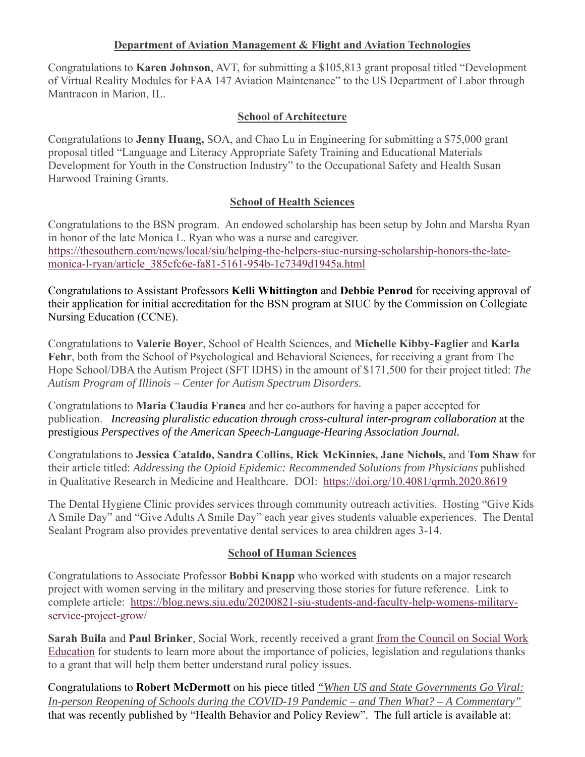#### **Department of Aviation Management & Flight and Aviation Technologies**

Congratulations to **Karen Johnson**, AVT, for submitting a \$105,813 grant proposal titled "Development of Virtual Reality Modules for FAA 147 Aviation Maintenance" to the US Department of Labor through Mantracon in Marion, IL.

#### **School of Architecture**

Congratulations to **Jenny Huang,** SOA, and Chao Lu in Engineering for submitting a \$75,000 grant proposal titled "Language and Literacy Appropriate Safety Training and Educational Materials Development for Youth in the Construction Industry" to the Occupational Safety and Health Susan Harwood Training Grants.

#### **School of Health Sciences**

Congratulations to the BSN program. An endowed scholarship has been setup by John and Marsha Ryan in honor of the late Monica L. Ryan who was a nurse and caregiver. https://thesouthern.com/news/local/siu/helping-the-helpers-siuc-nursing-scholarship-honors-the-latemonica-l-ryan/article\_385cfc6e-fa81-5161-954b-1c7349d1945a.html

Congratulations to Assistant Professors **Kelli Whittington** and **Debbie Penrod** for receiving approval of their application for initial accreditation for the BSN program at SIUC by the Commission on Collegiate Nursing Education (CCNE).

Congratulations to **Valerie Boyer**, School of Health Sciences, and **Michelle Kibby-Faglier** and **Karla Fehr**, both from the School of Psychological and Behavioral Sciences, for receiving a grant from The Hope School/DBA the Autism Project (SFT IDHS) in the amount of \$171,500 for their project titled: *The Autism Program of Illinois – Center for Autism Spectrum Disorders.* 

Congratulations to **Maria Claudia Franca** and her co-authors for having a paper accepted for publication. *Increasing pluralistic education through cross-cultural inter-program collaboration* at the prestigious *Perspectives of the American Speech-Language-Hearing Association Journal.* 

Congratulations to **Jessica Cataldo, Sandra Collins, Rick McKinnies, Jane Nichols,** and **Tom Shaw** for their article titled: *Addressing the Opioid Epidemic: Recommended Solutions from Physicians* published in Qualitative Research in Medicine and Healthcare. DOI: https://doi.org/10.4081/qrmh.2020.8619

The Dental Hygiene Clinic provides services through community outreach activities. Hosting "Give Kids A Smile Day" and "Give Adults A Smile Day" each year gives students valuable experiences. The Dental Sealant Program also provides preventative dental services to area children ages 3-14.

#### **School of Human Sciences**

Congratulations to Associate Professor **Bobbi Knapp** who worked with students on a major research project with women serving in the military and preserving those stories for future reference. Link to complete article: https://blog.news.siu.edu/20200821-siu-students-and-faculty-help-womens-militaryservice-project-grow/

**Sarah Buila** and **Paul Brinker**, Social Work, recently received a grant from the Council on Social Work Education for students to learn more about the importance of policies, legislation and regulations thanks to a grant that will help them better understand rural policy issues.

Congratulations to **Robert McDermott** on his piece titled *"When US and State Governments Go Viral: In-person Reopening of Schools during the COVID-19 Pandemic – and Then What? – A Commentary"* that was recently published by "Health Behavior and Policy Review". The full article is available at: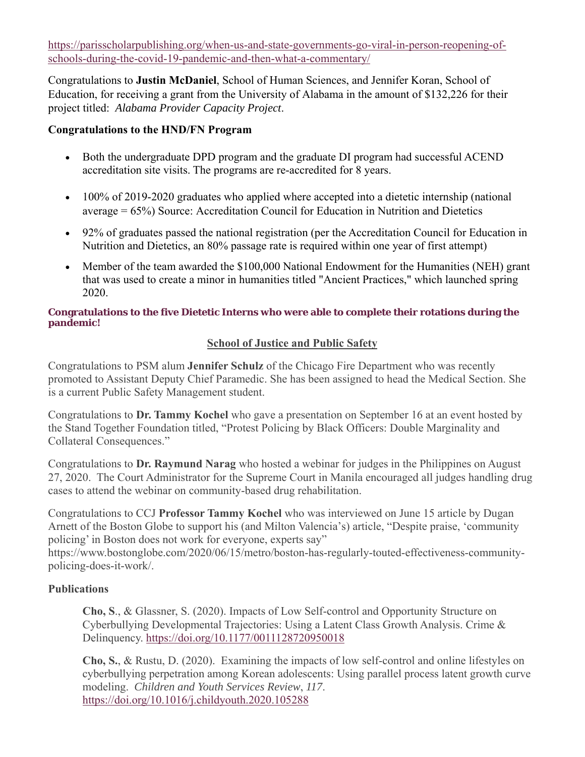https://parisscholarpublishing.org/when-us-and-state-governments-go-viral-in-person-reopening-ofschools-during-the-covid-19-pandemic-and-then-what-a-commentary/

Congratulations to **Justin McDaniel**, School of Human Sciences, and Jennifer Koran, School of Education, for receiving a grant from the University of Alabama in the amount of \$132,226 for their project titled: *Alabama Provider Capacity Project*.

#### **Congratulations to the HND/FN Program**

- Both the undergraduate DPD program and the graduate DI program had successful ACEND accreditation site visits. The programs are re-accredited for 8 years.
- 100% of 2019-2020 graduates who applied where accepted into a dietetic internship (national average = 65%) Source: Accreditation Council for Education in Nutrition and Dietetics
- 92% of graduates passed the national registration (per the Accreditation Council for Education in Nutrition and Dietetics, an 80% passage rate is required within one year of first attempt)
- Member of the team awarded the \$100,000 National Endowment for the Humanities (NEH) grant that was used to create a minor in humanities titled "Ancient Practices," which launched spring 2020.

#### **Congratulations to the five Dietetic Interns who were able to complete their rotations during the pandemic!**

#### **School of Justice and Public Safety**

Congratulations to PSM alum **Jennifer Schulz** of the Chicago Fire Department who was recently promoted to Assistant Deputy Chief Paramedic. She has been assigned to head the Medical Section. She is a current Public Safety Management student.

Congratulations to **Dr. Tammy Kochel** who gave a presentation on September 16 at an event hosted by the Stand Together Foundation titled, "Protest Policing by Black Officers: Double Marginality and Collateral Consequences."

Congratulations to **Dr. Raymund Narag** who hosted a webinar for judges in the Philippines on August 27, 2020. The Court Administrator for the Supreme Court in Manila encouraged all judges handling drug cases to attend the webinar on community-based drug rehabilitation.

Congratulations to CCJ **Professor Tammy Kochel** who was interviewed on June 15 article by Dugan Arnett of the Boston Globe to support his (and Milton Valencia's) article, "Despite praise, 'community policing' in Boston does not work for everyone, experts say"

https://www.bostonglobe.com/2020/06/15/metro/boston-has-regularly-touted-effectiveness-communitypolicing-does-it-work/.

#### **Publications**

**Cho, S**., & Glassner, S. (2020). Impacts of Low Self-control and Opportunity Structure on Cyberbullying Developmental Trajectories: Using a Latent Class Growth Analysis. Crime & Delinquency. https://doi.org/10.1177/0011128720950018

**Cho, S.**, & Rustu, D. (2020). Examining the impacts of low self-control and online lifestyles on cyberbullying perpetration among Korean adolescents: Using parallel process latent growth curve modeling. *Children and Youth Services Review*, *117*. https://doi.org/10.1016/j.childyouth.2020.105288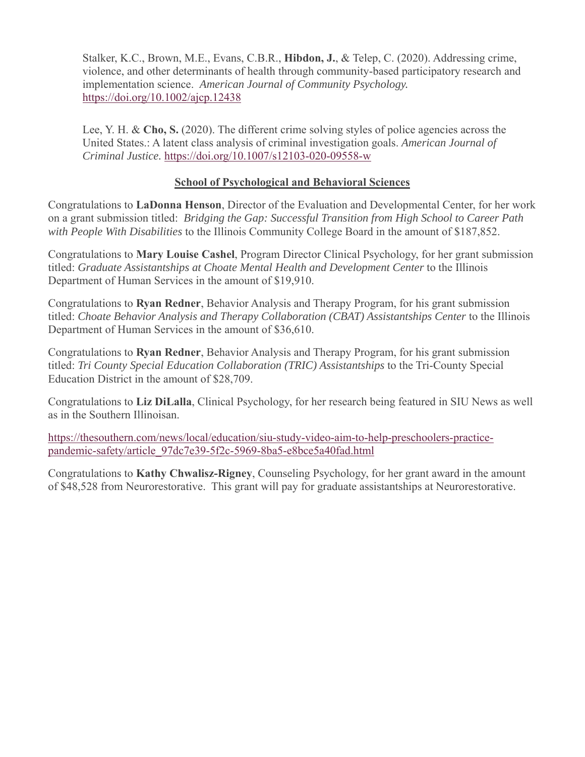Stalker, K.C., Brown, M.E., Evans, C.B.R., **Hibdon, J.**, & Telep, C. (2020). Addressing crime, violence, and other determinants of health through community-based participatory research and implementation science. *American Journal of Community Psychology.* https://doi.org/10.1002/ajcp.12438

Lee, Y. H. & **Cho, S.** (2020). The different crime solving styles of police agencies across the United States.: A latent class analysis of criminal investigation goals. *American Journal of Criminal Justice.* https://doi.org/10.1007/s12103-020-09558-w

#### **School of Psychological and Behavioral Sciences**

Congratulations to **LaDonna Henson**, Director of the Evaluation and Developmental Center, for her work on a grant submission titled: *Bridging the Gap: Successful Transition from High School to Career Path with People With Disabilities* to the Illinois Community College Board in the amount of \$187,852.

Congratulations to **Mary Louise Cashel**, Program Director Clinical Psychology, for her grant submission titled: *Graduate Assistantships at Choate Mental Health and Development Center* to the Illinois Department of Human Services in the amount of \$19,910.

Congratulations to **Ryan Redner**, Behavior Analysis and Therapy Program, for his grant submission titled: *Choate Behavior Analysis and Therapy Collaboration (CBAT) Assistantships Center* to the Illinois Department of Human Services in the amount of \$36,610.

Congratulations to **Ryan Redner**, Behavior Analysis and Therapy Program, for his grant submission titled: *Tri County Special Education Collaboration (TRIC) Assistantships* to the Tri-County Special Education District in the amount of \$28,709.

Congratulations to **Liz DiLalla**, Clinical Psychology, for her research being featured in SIU News as well as in the Southern Illinoisan.

https://thesouthern.com/news/local/education/siu-study-video-aim-to-help-preschoolers-practicepandemic-safety/article\_97dc7e39-5f2c-5969-8ba5-e8bce5a40fad.html

Congratulations to **Kathy Chwalisz-Rigney**, Counseling Psychology, for her grant award in the amount of \$48,528 from Neurorestorative. This grant will pay for graduate assistantships at Neurorestorative.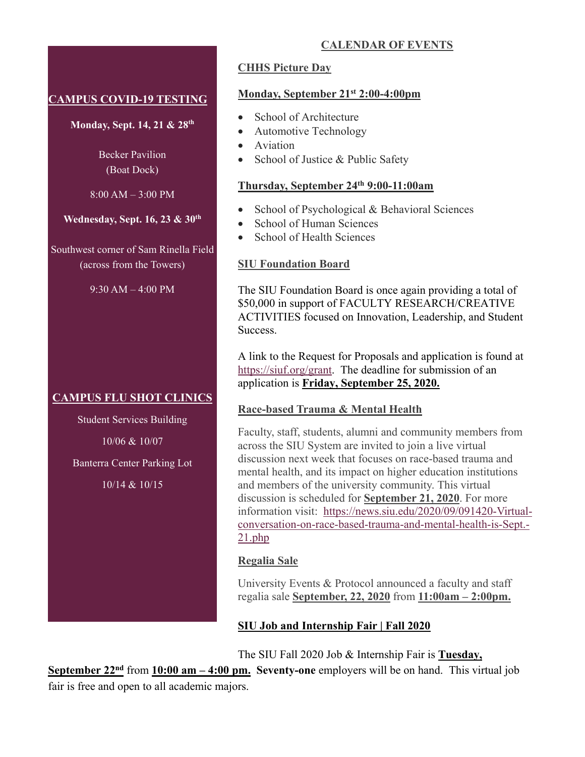## **CAMPUS COVID-19 TESTING**

**Monday, Sept. 14, 21 & 28th**

Becker Pavilion (Boat Dock)

8:00 AM – 3:00 PM

**Wednesday, Sept. 16, 23 & 30th**

Southwest corner of Sam Rinella Field (across from the Towers)

9:30 AM – 4:00 PM

## **CAMPUS FLU SHOT CLINICS**

Student Services Building 10/06 & 10/07 Banterra Center Parking Lot

10/14 & 10/15

## **CHHS Picture Day**

#### **Monday, September 21st 2:00-4:00pm**

- School of Architecture
- Automotive Technology
- **Aviation**
- School of Justice & Public Safety

#### **Thursday, September 24th 9:00-11:00am**

- School of Psychological & Behavioral Sciences
- School of Human Sciences
- School of Health Sciences

#### **SIU Foundation Board**

The SIU Foundation Board is once again providing a total of \$50,000 in support of FACULTY RESEARCH/CREATIVE ACTIVITIES focused on Innovation, Leadership, and Student Success.

A link to the Request for Proposals and application is found at https://siuf.org/grant. The deadline for submission of an application is **Friday, September 25, 2020.**

#### **Race-based Trauma & Mental Health**

Faculty, staff, students, alumni and community members from across the SIU System are invited to join a live virtual discussion next week that focuses on race-based trauma and mental health, and its impact on higher education institutions and members of the university community. This virtual discussion is scheduled for **September 21, 2020**. For more information visit: https://news.siu.edu/2020/09/091420-Virtualconversation-on-race-based-trauma-and-mental-health-is-Sept.- 21.php

#### **Regalia Sale**

University Events & Protocol announced a faculty and staff regalia sale **September, 22, 2020** from **11:00am – 2:00pm.** 

## **SIU Job and Internship Fair | Fall 2020**

The SIU Fall 2020 Job & Internship Fair is **Tuesday,** 

**September 22nd** from **10:00 am – 4:00 pm. Seventy-one** employers will be on hand. This virtual job fair is free and open to all academic majors.